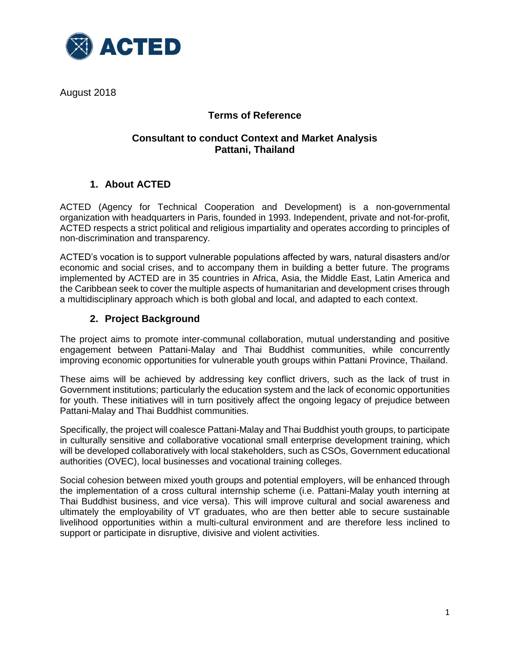

August 2018

# **Terms of Reference**

## **Consultant to conduct Context and Market Analysis Pattani, Thailand**

# **1. About ACTED**

ACTED (Agency for Technical Cooperation and Development) is a non-governmental organization with headquarters in Paris, founded in 1993. Independent, private and not-for-profit, ACTED respects a strict political and religious impartiality and operates according to principles of non-discrimination and transparency.

ACTED's vocation is to support vulnerable populations affected by wars, natural disasters and/or economic and social crises, and to accompany them in building a better future. The programs implemented by ACTED are in 35 countries in Africa, Asia, the Middle East, Latin America and the Caribbean seek to cover the multiple aspects of humanitarian and development crises through a multidisciplinary approach which is both global and local, and adapted to each context.

## **2. Project Background**

The project aims to promote inter-communal collaboration, mutual understanding and positive engagement between Pattani-Malay and Thai Buddhist communities, while concurrently improving economic opportunities for vulnerable youth groups within Pattani Province, Thailand.

These aims will be achieved by addressing key conflict drivers, such as the lack of trust in Government institutions; particularly the education system and the lack of economic opportunities for youth. These initiatives will in turn positively affect the ongoing legacy of prejudice between Pattani-Malay and Thai Buddhist communities.

Specifically, the project will coalesce Pattani-Malay and Thai Buddhist youth groups, to participate in culturally sensitive and collaborative vocational small enterprise development training, which will be developed collaboratively with local stakeholders, such as CSOs, Government educational authorities (OVEC), local businesses and vocational training colleges.

Social cohesion between mixed youth groups and potential employers, will be enhanced through the implementation of a cross cultural internship scheme (i.e. Pattani-Malay youth interning at Thai Buddhist business, and vice versa). This will improve cultural and social awareness and ultimately the employability of VT graduates, who are then better able to secure sustainable livelihood opportunities within a multi-cultural environment and are therefore less inclined to support or participate in disruptive, divisive and violent activities.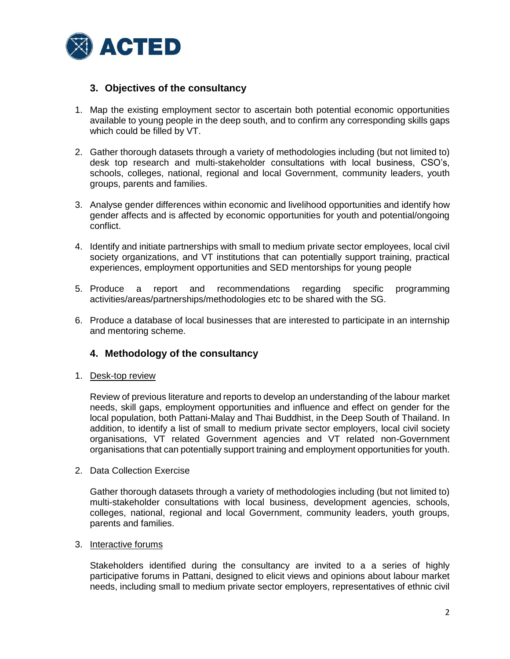

### **3. Objectives of the consultancy**

- 1. Map the existing employment sector to ascertain both potential economic opportunities available to young people in the deep south, and to confirm any corresponding skills gaps which could be filled by VT.
- 2. Gather thorough datasets through a variety of methodologies including (but not limited to) desk top research and multi-stakeholder consultations with local business, CSO's, schools, colleges, national, regional and local Government, community leaders, youth groups, parents and families.
- 3. Analyse gender differences within economic and livelihood opportunities and identify how gender affects and is affected by economic opportunities for youth and potential/ongoing conflict.
- 4. Identify and initiate partnerships with small to medium private sector employees, local civil society organizations, and VT institutions that can potentially support training, practical experiences, employment opportunities and SED mentorships for young people
- 5. Produce a report and recommendations regarding specific programming activities/areas/partnerships/methodologies etc to be shared with the SG.
- 6. Produce a database of local businesses that are interested to participate in an internship and mentoring scheme.

### **4. Methodology of the consultancy**

1. Desk-top review

Review of previous literature and reports to develop an understanding of the labour market needs, skill gaps, employment opportunities and influence and effect on gender for the local population, both Pattani-Malay and Thai Buddhist, in the Deep South of Thailand. In addition, to identify a list of small to medium private sector employers, local civil society organisations, VT related Government agencies and VT related non-Government organisations that can potentially support training and employment opportunities for youth.

2. Data Collection Exercise

Gather thorough datasets through a variety of methodologies including (but not limited to) multi-stakeholder consultations with local business, development agencies, schools, colleges, national, regional and local Government, community leaders, youth groups, parents and families.

3. Interactive forums

Stakeholders identified during the consultancy are invited to a a series of highly participative forums in Pattani, designed to elicit views and opinions about labour market needs, including small to medium private sector employers, representatives of ethnic civil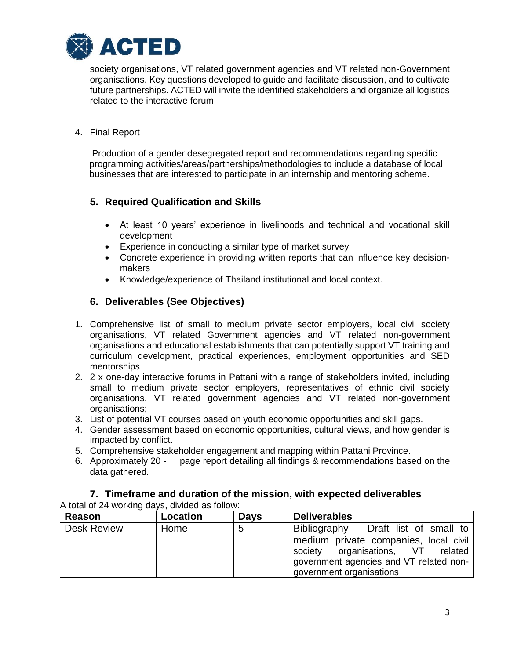

society organisations, VT related government agencies and VT related non-Government organisations. Key questions developed to guide and facilitate discussion, and to cultivate future partnerships. ACTED will invite the identified stakeholders and organize all logistics related to the interactive forum

#### 4. Final Report

Production of a gender desegregated report and recommendations regarding specific programming activities/areas/partnerships/methodologies to include a database of local businesses that are interested to participate in an internship and mentoring scheme.

## **5. Required Qualification and Skills**

- At least 10 years' experience in livelihoods and technical and vocational skill development
- Experience in conducting a similar type of market survey
- Concrete experience in providing written reports that can influence key decisionmakers
- Knowledge/experience of Thailand institutional and local context.

## **6. Deliverables (See Objectives)**

- 1. Comprehensive list of small to medium private sector employers, local civil society organisations, VT related Government agencies and VT related non-government organisations and educational establishments that can potentially support VT training and curriculum development, practical experiences, employment opportunities and SED mentorships
- 2. 2 x one-day interactive forums in Pattani with a range of stakeholders invited, including small to medium private sector employers, representatives of ethnic civil society organisations, VT related government agencies and VT related non-government organisations;
- 3. List of potential VT courses based on youth economic opportunities and skill gaps.
- 4. Gender assessment based on economic opportunities, cultural views, and how gender is impacted by conflict.
- 5. Comprehensive stakeholder engagement and mapping within Pattani Province.
- 6. Approximately 20 page report detailing all findings & recommendations based on the data gathered.

| A total of 24 working days, divided as follow: |          |             |                                                                                                                                                                                            |  |
|------------------------------------------------|----------|-------------|--------------------------------------------------------------------------------------------------------------------------------------------------------------------------------------------|--|
| Reason                                         | Location | <b>Days</b> | <b>Deliverables</b>                                                                                                                                                                        |  |
| <b>Desk Review</b>                             | Home     | 5           | Bibliography – Draft list of small to<br>medium private companies, local civil<br>society organisations, VT related<br>government agencies and VT related non-<br>government organisations |  |

# **7. Timeframe and duration of the mission, with expected deliverables**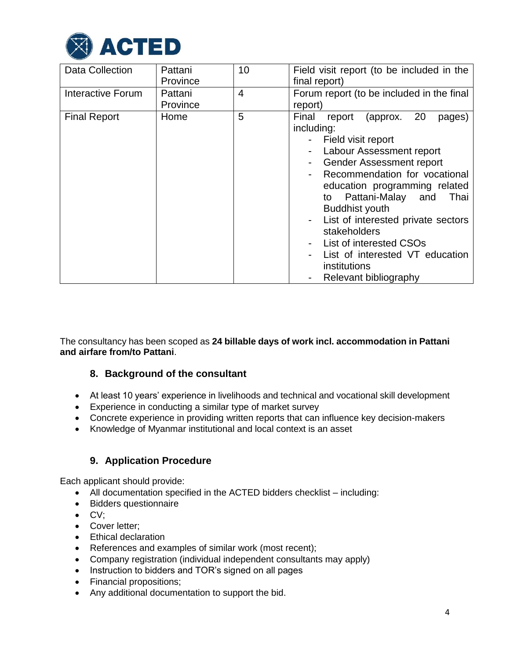

| <b>Data Collection</b>   | Pattani<br>Province | 10 | Field visit report (to be included in the<br>final report)                                                                                                                                                                                                                                                                                                                                                                                  |
|--------------------------|---------------------|----|---------------------------------------------------------------------------------------------------------------------------------------------------------------------------------------------------------------------------------------------------------------------------------------------------------------------------------------------------------------------------------------------------------------------------------------------|
| <b>Interactive Forum</b> | Pattani<br>Province | 4  | Forum report (to be included in the final<br>report)                                                                                                                                                                                                                                                                                                                                                                                        |
| <b>Final Report</b>      | Home                | 5  | 20<br>Final<br>report<br>(approx.<br>pages)<br>including:<br>- Field visit report<br>Labour Assessment report<br><b>Gender Assessment report</b><br>Recommendation for vocational<br>education programming related<br>Pattani-Malay and<br>Thai<br>to<br><b>Buddhist youth</b><br>List of interested private sectors<br>stakeholders<br>List of interested CSOs<br>List of interested VT education<br>institutions<br>Relevant bibliography |

The consultancy has been scoped as **24 billable days of work incl. accommodation in Pattani and airfare from/to Pattani**.

### **8. Background of the consultant**

- At least 10 years' experience in livelihoods and technical and vocational skill development
- Experience in conducting a similar type of market survey
- Concrete experience in providing written reports that can influence key decision-makers
- Knowledge of Myanmar institutional and local context is an asset

### **9. Application Procedure**

Each applicant should provide:

- All documentation specified in the ACTED bidders checklist including:
- Bidders questionnaire
- $\bullet$  CV;
- Cover letter:
- Ethical declaration
- References and examples of similar work (most recent);
- Company registration (individual independent consultants may apply)
- Instruction to bidders and TOR's signed on all pages
- Financial propositions;
- Any additional documentation to support the bid.